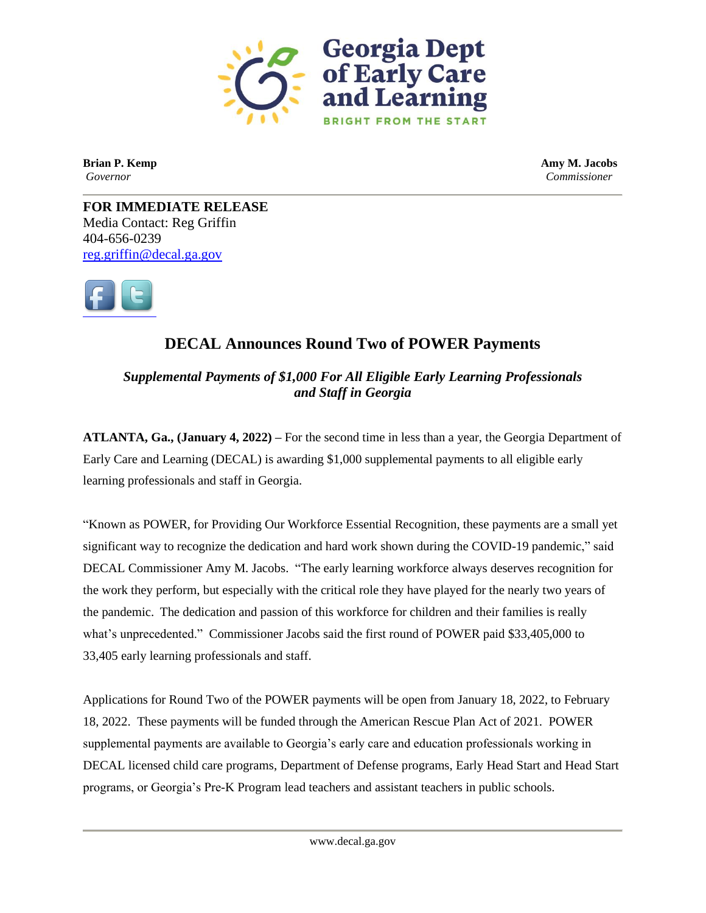

**Brian P. Kemp Amy M. Jacobs** *Governor Commissioner*

**FOR IMMEDIATE RELEASE** Media Contact: Reg Griffin 404-656-0239 [reg.griffin@decal.ga.gov](mailto:reg.griffin@decal.ga.gov)



## **DECAL Announces Round Two of POWER Payments**

*Supplemental Payments of \$1,000 For All Eligible Early Learning Professionals and Staff in Georgia*

**ATLANTA, Ga., (January 4, 2022) –** For the second time in less than a year, the Georgia Department of Early Care and Learning (DECAL) is awarding \$1,000 supplemental payments to all eligible early learning professionals and staff in Georgia.

"Known as POWER, for Providing Our Workforce Essential Recognition, these payments are a small yet significant way to recognize the dedication and hard work shown during the COVID-19 pandemic," said DECAL Commissioner Amy M. Jacobs. "The early learning workforce always deserves recognition for the work they perform, but especially with the critical role they have played for the nearly two years of the pandemic. The dedication and passion of this workforce for children and their families is really what's unprecedented." Commissioner Jacobs said the first round of POWER paid \$33,405,000 to 33,405 early learning professionals and staff.

Applications for Round Two of the POWER payments will be open from January 18, 2022, to February 18, 2022. These payments will be funded through the American Rescue Plan Act of 2021. POWER supplemental payments are available to Georgia's early care and education professionals working in DECAL licensed child care programs, Department of Defense programs, Early Head Start and Head Start programs, or Georgia's Pre-K Program lead teachers and assistant teachers in public schools.